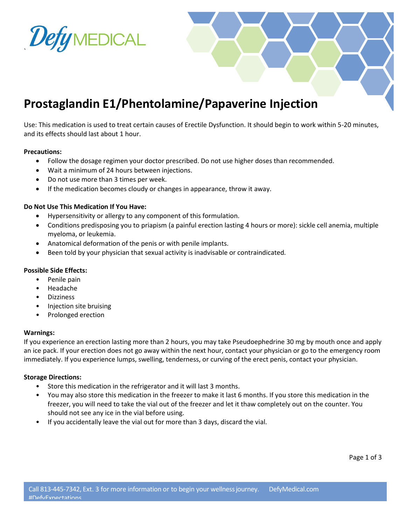

## **Prostaglandin E1/Phentolamine/Papaverine Injection**

Use: This medication is used to treat certain causes of Erectile Dysfunction. It should begin to work within 5-20 minutes, and its effects should last about 1 hour.

#### **Precautions:**

- Follow the dosage regimen your doctor prescribed. Do not use higher doses than recommended.
- Wait a minimum of 24 hours between injections.
- Do not use more than 3 times per week.
- If the medication becomes cloudy or changes in appearance, throw it away.

#### **Do Not Use This Medication If You Have:**

- Hypersensitivity or allergy to any component of this formulation.
- Conditions predisposing you to priapism (a painful erection lasting 4 hours or more): sickle cell anemia, multiple myeloma, or leukemia.
- Anatomical deformation of the penis or with penile implants.
- Been told by your physician that sexual activity is inadvisable or contraindicated.

#### **Possible Side Effects:**

- Penile pain
- Headache
- Dizziness
- Injection site bruising
- Prolonged erection

#### **Warnings:**

If you experience an erection lasting more than 2 hours, you may take Pseudoephedrine 30 mg by mouth once and apply an ice pack. If your erection does not go away within the next hour, contact your physician or go to the emergency room immediately. If you experience lumps, swelling, tenderness, or curving of the erect penis, contact your physician.

#### **Storage Directions:**

- Store this medication in the refrigerator and it will last 3 months.
- You may also store this medication in the freezer to make it last 6 months. If you store this medication in the freezer, you will need to take the vial out of the freezer and let it thaw completely out on the counter. You should not see any ice in the vial before using.
- If you accidentally leave the vial out for more than 3 days, discard the vial.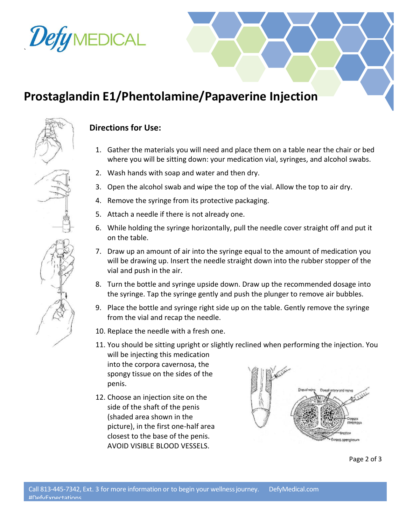# DefyMEDICAL

`

## **Prostaglandin E1/Phentolamine/Papaverine Injection**



### **Directions for Use:**

- 1. Gather the materials you will need and place them on a table near the chair or bed where you will be sitting down: your medication vial, syringes, and alcohol swabs.
- 2. Wash hands with soap and water and then dry.
- 3. Open the alcohol swab and wipe the top of the vial. Allow the top to air dry.
- 4. Remove the syringe from its protective packaging.
- 5. Attach a needle if there is not already one.
- 6. While holding the syringe horizontally, pull the needle cover straight off and put it on the table.
- 7. Draw up an amount of air into the syringe equal to the amount of medication you will be drawing up. Insert the needle straight down into the rubber stopper of the vial and push in the air.
- 8. Turn the bottle and syringe upside down. Draw up the recommended dosage into the syringe. Tap the syringe gently and push the plunger to remove air bubbles.
- 9. Place the bottle and syringe right side up on the table. Gently remove the syringe from the vial and recap the needle.
- 10. Replace the needle with a fresh one.
- 11. You should be sitting upright or slightly reclined when performing the injection. You will be injecting this medication into the corpora cavernosa, the spongy tissue on the sides of the penis.
- 12. Choose an injection site on the side of the shaft of the penis (shaded area shown in the picture), in the first one-half area closest to the base of the penis. AVOID VISIBLE BLOOD VESSELS.